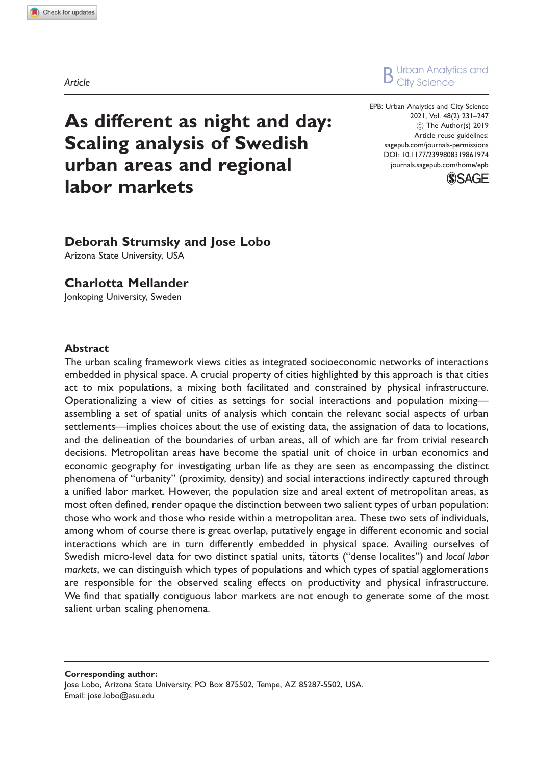Article



EPB: Urban Analytics and City Science 2021, Vol. 48(2) 231–247 (C) The Author(s) 2019 Article reuse guidelines: [sagepub.com/journals-permissions](http://uk.sagepub.com/en-gb/journals-permissions) [DOI: 10.1177/2399808319861974](http://dx.doi.org/10.1177/2399808319861974) <journals.sagepub.com/home/epb>



# As different as night and day: Scaling analysis of Swedish urban areas and regional labor markets

# Deborah Strumsky and Jose Lobo

Arizona State University, USA

# Charlotta Mellander

Jonkoping University, Sweden

#### **Abstract**

The urban scaling framework views cities as integrated socioeconomic networks of interactions embedded in physical space. A crucial property of cities highlighted by this approach is that cities act to mix populations, a mixing both facilitated and constrained by physical infrastructure. Operationalizing a view of cities as settings for social interactions and population mixing assembling a set of spatial units of analysis which contain the relevant social aspects of urban settlements—implies choices about the use of existing data, the assignation of data to locations, and the delineation of the boundaries of urban areas, all of which are far from trivial research decisions. Metropolitan areas have become the spatial unit of choice in urban economics and economic geography for investigating urban life as they are seen as encompassing the distinct phenomena of "urbanity" (proximity, density) and social interactions indirectly captured through a unified labor market. However, the population size and areal extent of metropolitan areas, as most often defined, render opaque the distinction between two salient types of urban population: those who work and those who reside within a metropolitan area. These two sets of individuals, among whom of course there is great overlap, putatively engage in different economic and social interactions which are in turn differently embedded in physical space. Availing ourselves of Swedish micro-level data for two distinct spatial units, tätorts ("dense localites") and local labor markets, we can distinguish which types of populations and which types of spatial agglomerations are responsible for the observed scaling effects on productivity and physical infrastructure. We find that spatially contiguous labor markets are not enough to generate some of the most salient urban scaling phenomena.

Corresponding author: Jose Lobo, Arizona State University, PO Box 875502, Tempe, AZ 85287-5502, USA. Email: [jose.lobo@asu.edu](mailto:jose.lobo@asu.edu)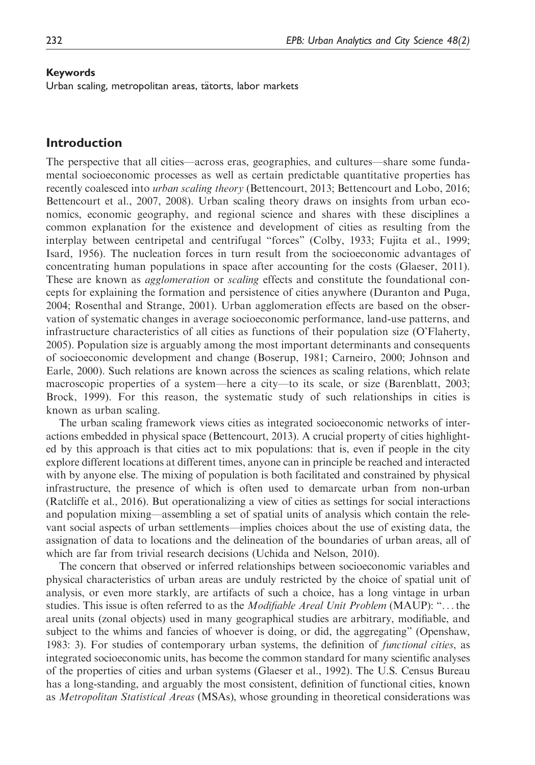#### Keywords

Urban scaling, metropolitan areas, tätorts, labor markets

## Introduction

The perspective that all cities—across eras, geographies, and cultures—share some fundamental socioeconomic processes as well as certain predictable quantitative properties has recently coalesced into *urban scaling theory* (Bettencourt, 2013; Bettencourt and Lobo, 2016; Bettencourt et al., 2007, 2008). Urban scaling theory draws on insights from urban economics, economic geography, and regional science and shares with these disciplines a common explanation for the existence and development of cities as resulting from the interplay between centripetal and centrifugal "forces" (Colby, 1933; Fujita et al., 1999; Isard, 1956). The nucleation forces in turn result from the socioeconomic advantages of concentrating human populations in space after accounting for the costs (Glaeser, 2011). These are known as *agglomeration* or *scaling* effects and constitute the foundational concepts for explaining the formation and persistence of cities anywhere (Duranton and Puga, 2004; Rosenthal and Strange, 2001). Urban agglomeration effects are based on the observation of systematic changes in average socioeconomic performance, land-use patterns, and infrastructure characteristics of all cities as functions of their population size (O'Flaherty, 2005). Population size is arguably among the most important determinants and consequents of socioeconomic development and change (Boserup, 1981; Carneiro, 2000; Johnson and Earle, 2000). Such relations are known across the sciences as scaling relations, which relate macroscopic properties of a system—here a city—to its scale, or size (Barenblatt, 2003; Brock, 1999). For this reason, the systematic study of such relationships in cities is known as urban scaling.

The urban scaling framework views cities as integrated socioeconomic networks of interactions embedded in physical space (Bettencourt, 2013). A crucial property of cities highlighted by this approach is that cities act to mix populations: that is, even if people in the city explore different locations at different times, anyone can in principle be reached and interacted with by anyone else. The mixing of population is both facilitated and constrained by physical infrastructure, the presence of which is often used to demarcate urban from non-urban (Ratcliffe et al., 2016). But operationalizing a view of cities as settings for social interactions and population mixing—assembling a set of spatial units of analysis which contain the relevant social aspects of urban settlements—implies choices about the use of existing data, the assignation of data to locations and the delineation of the boundaries of urban areas, all of which are far from trivial research decisions (Uchida and Nelson, 2010).

The concern that observed or inferred relationships between socioeconomic variables and physical characteristics of urban areas are unduly restricted by the choice of spatial unit of analysis, or even more starkly, are artifacts of such a choice, has a long vintage in urban studies. This issue is often referred to as the *Modifiable Areal Unit Problem* (MAUP): "...the areal units (zonal objects) used in many geographical studies are arbitrary, modifiable, and subject to the whims and fancies of whoever is doing, or did, the aggregating" (Openshaw, 1983: 3). For studies of contemporary urban systems, the definition of *functional cities*, as integrated socioeconomic units, has become the common standard for many scientific analyses of the properties of cities and urban systems (Glaeser et al., 1992). The U.S. Census Bureau has a long-standing, and arguably the most consistent, definition of functional cities, known as *Metropolitan Statistical Areas* (MSAs), whose grounding in theoretical considerations was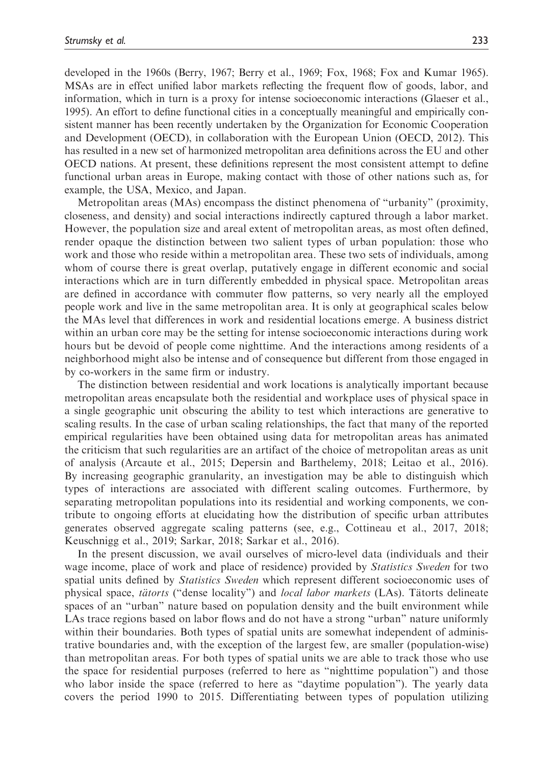developed in the 1960s (Berry, 1967; Berry et al., 1969; Fox, 1968; Fox and Kumar 1965). MSAs are in effect unified labor markets reflecting the frequent flow of goods, labor, and information, which in turn is a proxy for intense socioeconomic interactions (Glaeser et al., 1995). An effort to define functional cities in a conceptually meaningful and empirically consistent manner has been recently undertaken by the Organization for Economic Cooperation and Development (OECD), in collaboration with the European Union (OECD, 2012). This has resulted in a new set of harmonized metropolitan area definitions across the EU and other OECD nations. At present, these definitions represent the most consistent attempt to define functional urban areas in Europe, making contact with those of other nations such as, for example, the USA, Mexico, and Japan.

Metropolitan areas (MAs) encompass the distinct phenomena of "urbanity" (proximity, closeness, and density) and social interactions indirectly captured through a labor market. However, the population size and areal extent of metropolitan areas, as most often defined, render opaque the distinction between two salient types of urban population: those who work and those who reside within a metropolitan area. These two sets of individuals, among whom of course there is great overlap, putatively engage in different economic and social interactions which are in turn differently embedded in physical space. Metropolitan areas are defined in accordance with commuter flow patterns, so very nearly all the employed people work and live in the same metropolitan area. It is only at geographical scales below the MAs level that differences in work and residential locations emerge. A business district within an urban core may be the setting for intense socioeconomic interactions during work hours but be devoid of people come nighttime. And the interactions among residents of a neighborhood might also be intense and of consequence but different from those engaged in by co-workers in the same firm or industry.

The distinction between residential and work locations is analytically important because metropolitan areas encapsulate both the residential and workplace uses of physical space in a single geographic unit obscuring the ability to test which interactions are generative to scaling results. In the case of urban scaling relationships, the fact that many of the reported empirical regularities have been obtained using data for metropolitan areas has animated the criticism that such regularities are an artifact of the choice of metropolitan areas as unit of analysis (Arcaute et al., 2015; Depersin and Barthelemy, 2018; Leitao et al., 2016). By increasing geographic granularity, an investigation may be able to distinguish which types of interactions are associated with different scaling outcomes. Furthermore, by separating metropolitan populations into its residential and working components, we contribute to ongoing efforts at elucidating how the distribution of specific urban attributes generates observed aggregate scaling patterns (see, e.g., Cottineau et al., 2017, 2018; Keuschnigg et al., 2019; Sarkar, 2018; Sarkar et al., 2016).

In the present discussion, we avail ourselves of micro-level data (individuals and their wage income, place of work and place of residence) provided by *Statistics Sweden* for two spatial units defined by *Statistics Sweden* which represent different socioeconomic uses of physical space, *tätorts* ("dense locality") and *local labor markets* (LAs). Tätorts delineate spaces of an "urban" nature based on population density and the built environment while LAs trace regions based on labor flows and do not have a strong "urban" nature uniformly within their boundaries. Both types of spatial units are somewhat independent of administrative boundaries and, with the exception of the largest few, are smaller (population-wise) than metropolitan areas. For both types of spatial units we are able to track those who use the space for residential purposes (referred to here as "nighttime population") and those who labor inside the space (referred to here as "daytime population"). The yearly data covers the period 1990 to 2015. Differentiating between types of population utilizing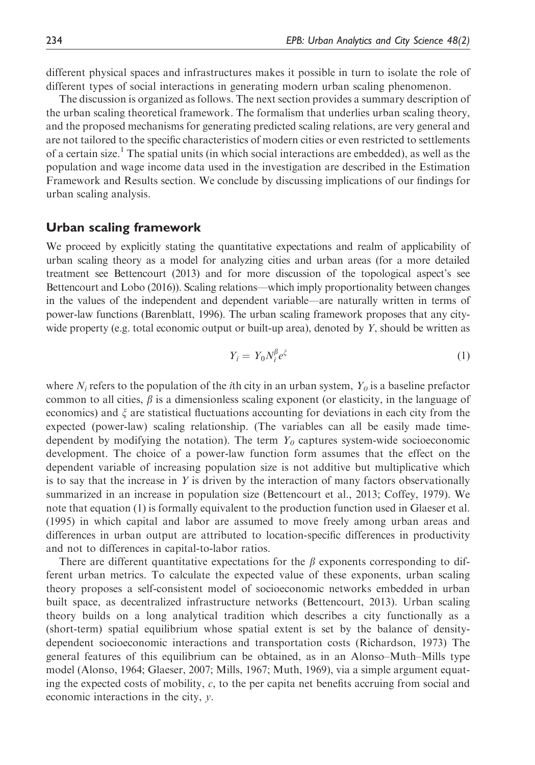different physical spaces and infrastructures makes it possible in turn to isolate the role of different types of social interactions in generating modern urban scaling phenomenon.

The discussion is organized as follows. The next section provides a summary description of the urban scaling theoretical framework. The formalism that underlies urban scaling theory, and the proposed mechanisms for generating predicted scaling relations, are very general and are not tailored to the specific characteristics of modern cities or even restricted to settlements of a certain size.<sup>1</sup> The spatial units (in which social interactions are embedded), as well as the population and wage income data used in the investigation are described in the Estimation Framework and Results section. We conclude by discussing implications of our findings for urban scaling analysis.

#### Urban scaling framework

We proceed by explicitly stating the quantitative expectations and realm of applicability of urban scaling theory as a model for analyzing cities and urban areas (for a more detailed treatment see Bettencourt (2013) and for more discussion of the topological aspect's see Bettencourt and Lobo (2016)). Scaling relations—which imply proportionality between changes in the values of the independent and dependent variable—are naturally written in terms of power-law functions (Barenblatt, 1996). The urban scaling framework proposes that any citywide property (e.g. total economic output or built-up area), denoted by  $Y$ , should be written as

$$
Y_i = Y_0 N_i^{\beta} e^{\xi} \tag{1}
$$

where  $N_i$  refers to the population of the *i*th city in an urban system,  $Y_0$  is a baseline prefactor common to all cities,  $\beta$  is a dimensionless scaling exponent (or elasticity, in the language of economics) and  $\xi$  are statistical fluctuations accounting for deviations in each city from the expected (power-law) scaling relationship. (The variables can all be easily made timedependent by modifying the notation). The term  $Y_0$  captures system-wide socioeconomic development. The choice of a power-law function form assumes that the effect on the dependent variable of increasing population size is not additive but multiplicative which is to say that the increase in Y is driven by the interaction of many factors observationally summarized in an increase in population size (Bettencourt et al., 2013; Coffey, 1979). We note that equation (1) is formally equivalent to the production function used in Glaeser et al. (1995) in which capital and labor are assumed to move freely among urban areas and differences in urban output are attributed to location-specific differences in productivity and not to differences in capital-to-labor ratios.

There are different quantitative expectations for the  $\beta$  exponents corresponding to different urban metrics. To calculate the expected value of these exponents, urban scaling theory proposes a self-consistent model of socioeconomic networks embedded in urban built space, as decentralized infrastructure networks (Bettencourt, 2013). Urban scaling theory builds on a long analytical tradition which describes a city functionally as a (short-term) spatial equilibrium whose spatial extent is set by the balance of densitydependent socioeconomic interactions and transportation costs (Richardson, 1973) The general features of this equilibrium can be obtained, as in an Alonso–Muth–Mills type model (Alonso, 1964; Glaeser, 2007; Mills, 1967; Muth, 1969), via a simple argument equating the expected costs of mobility, c, to the per capita net benefits accruing from social and economic interactions in the city, y.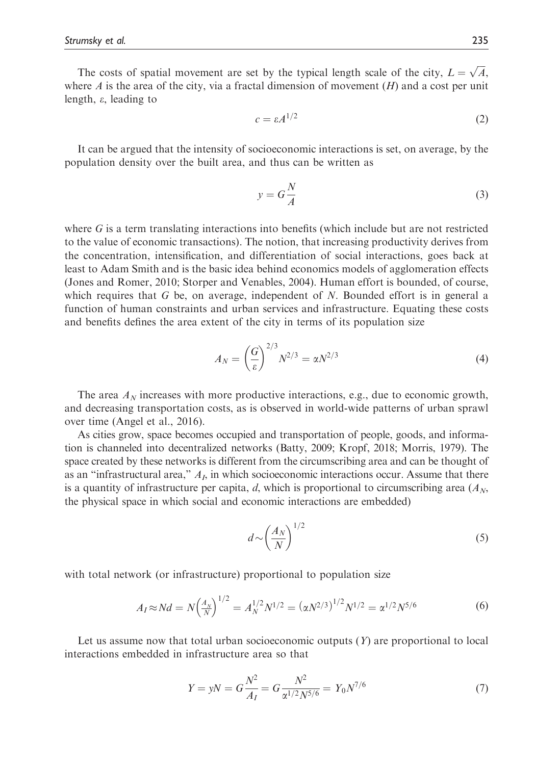The costs of spatial movement are set by the typical length scale of the city,  $L = \sqrt{A}$ , where A is the area of the city, via a fractal dimension of movement  $(H)$  and a cost per unit length, e, leading to

$$
c = \varepsilon A^{1/2} \tag{2}
$$

It can be argued that the intensity of socioeconomic interactions is set, on average, by the population density over the built area, and thus can be written as

$$
y = G\frac{N}{A} \tag{3}
$$

where  $G$  is a term translating interactions into benefits (which include but are not restricted to the value of economic transactions). The notion, that increasing productivity derives from the concentration, intensification, and differentiation of social interactions, goes back at least to Adam Smith and is the basic idea behind economics models of agglomeration effects (Jones and Romer, 2010; Storper and Venables, 2004). Human effort is bounded, of course, which requires that G be, on average, independent of N. Bounded effort is in general a function of human constraints and urban services and infrastructure. Equating these costs and benefits defines the area extent of the city in terms of its population size

$$
A_N = \left(\frac{G}{\varepsilon}\right)^{2/3} N^{2/3} = \alpha N^{2/3} \tag{4}
$$

The area  $A_N$  increases with more productive interactions, e.g., due to economic growth, and decreasing transportation costs, as is observed in world-wide patterns of urban sprawl over time (Angel et al., 2016).

As cities grow, space becomes occupied and transportation of people, goods, and information is channeled into decentralized networks (Batty, 2009; Kropf, 2018; Morris, 1979). The space created by these networks is different from the circumscribing area and can be thought of as an "infrastructural area,"  $A<sub>I</sub>$ , in which socioeconomic interactions occur. Assume that there is a quantity of infrastructure per capita, d, which is proportional to circumscribing area  $(A<sub>N</sub>, A<sub>N</sub>)$ the physical space in which social and economic interactions are embedded)

$$
d \sim \left(\frac{A_N}{N}\right)^{1/2} \tag{5}
$$

with total network (or infrastructure) proportional to population size

$$
A_I \approx Nd = N \left(\frac{A_N}{N}\right)^{1/2} = A_N^{1/2} N^{1/2} = \left(\alpha N^{2/3}\right)^{1/2} N^{1/2} = \alpha^{1/2} N^{5/6} \tag{6}
$$

Let us assume now that total urban socioeconomic outputs (Y) are proportional to local interactions embedded in infrastructure area so that

$$
Y = yN = G\frac{N^2}{A_I} = G\frac{N^2}{\alpha^{1/2}N^{5/6}} = Y_0N^{7/6}
$$
 (7)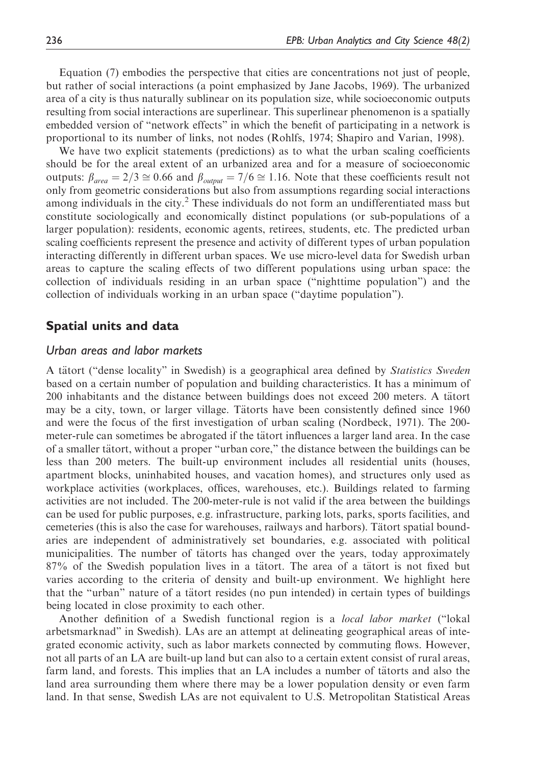Equation (7) embodies the perspective that cities are concentrations not just of people, but rather of social interactions (a point emphasized by Jane Jacobs, 1969). The urbanized area of a city is thus naturally sublinear on its population size, while socioeconomic outputs resulting from social interactions are superlinear. This superlinear phenomenon is a spatially embedded version of "network effects" in which the benefit of participating in a network is proportional to its number of links, not nodes (Rohlfs, 1974; Shapiro and Varian, 1998).

We have two explicit statements (predictions) as to what the urban scaling coefficients should be for the areal extent of an urbanized area and for a measure of socioeconomic outputs:  $\beta_{area} = 2/3 \approx 0.66$  and  $\beta_{output} = 7/6 \approx 1.16$ . Note that these coefficients result not only from geometric considerations but also from assumptions regarding social interactions among individuals in the city.<sup>2</sup> These individuals do not form an undifferentiated mass but constitute sociologically and economically distinct populations (or sub-populations of a larger population): residents, economic agents, retirees, students, etc. The predicted urban scaling coefficients represent the presence and activity of different types of urban population interacting differently in different urban spaces. We use micro-level data for Swedish urban areas to capture the scaling effects of two different populations using urban space: the collection of individuals residing in an urban space ("nighttime population") and the collection of individuals working in an urban space ("daytime population").

# Spatial units and data

#### Urban areas and labor markets

A tätort ("dense locality" in Swedish) is a geographical area defined by Statistics Sweden based on a certain number of population and building characteristics. It has a minimum of 200 inhabitants and the distance between buildings does not exceed 200 meters. A tätort may be a city, town, or larger village. Tätorts have been consistently defined since 1960 and were the focus of the first investigation of urban scaling (Nordbeck, 1971). The 200 meter-rule can sometimes be abrogated if the tätort influences a larger land area. In the case of a smaller tätort, without a proper "urban core," the distance between the buildings can be less than 200 meters. The built-up environment includes all residential units (houses, apartment blocks, uninhabited houses, and vacation homes), and structures only used as workplace activities (workplaces, offices, warehouses, etc.). Buildings related to farming activities are not included. The 200-meter-rule is not valid if the area between the buildings can be used for public purposes, e.g. infrastructure, parking lots, parks, sports facilities, and cemeteries (this is also the case for warehouses, railways and harbors). Tätort spatial boundaries are independent of administratively set boundaries, e.g. associated with political municipalities. The number of tätorts has changed over the years, today approximately 87% of the Swedish population lives in a tätort. The area of a tätort is not fixed but varies according to the criteria of density and built-up environment. We highlight here that the "urban" nature of a tätort resides (no pun intended) in certain types of buildings being located in close proximity to each other.

Another definition of a Swedish functional region is a local labor market ("lokal arbetsmarknad" in Swedish). LAs are an attempt at delineating geographical areas of integrated economic activity, such as labor markets connected by commuting flows. However, not all parts of an LA are built-up land but can also to a certain extent consist of rural areas, farm land, and forests. This implies that an LA includes a number of tätorts and also the land area surrounding them where there may be a lower population density or even farm land. In that sense, Swedish LAs are not equivalent to U.S. Metropolitan Statistical Areas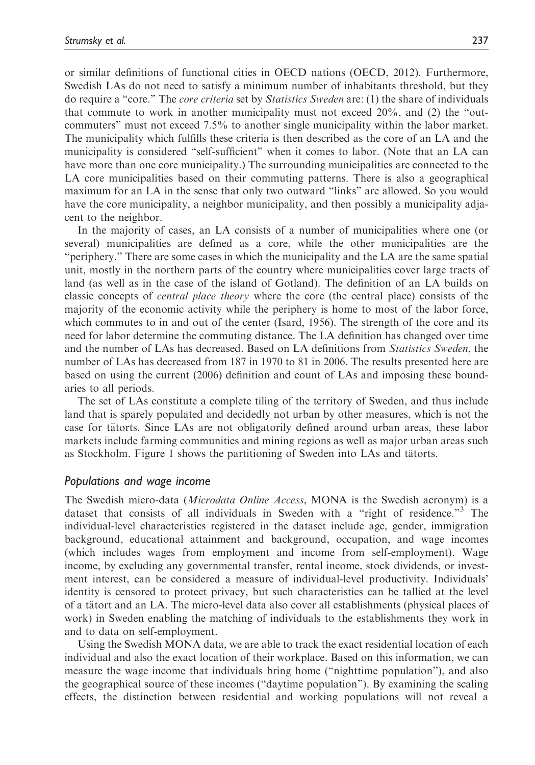or similar definitions of functional cities in OECD nations (OECD, 2012). Furthermore, Swedish LAs do not need to satisfy a minimum number of inhabitants threshold, but they do require a "core." The core criteria set by Statistics Sweden are: (1) the share of individuals that commute to work in another municipality must not exceed 20%, and (2) the "outcommuters" must not exceed 7.5% to another single municipality within the labor market. The municipality which fulfills these criteria is then described as the core of an LA and the municipality is considered "self-sufficient" when it comes to labor. (Note that an LA can have more than one core municipality.) The surrounding municipalities are connected to the LA core municipalities based on their commuting patterns. There is also a geographical maximum for an LA in the sense that only two outward "links" are allowed. So you would have the core municipality, a neighbor municipality, and then possibly a municipality adjacent to the neighbor.

In the majority of cases, an LA consists of a number of municipalities where one (or several) municipalities are defined as a core, while the other municipalities are the "periphery." There are some cases in which the municipality and the LA are the same spatial unit, mostly in the northern parts of the country where municipalities cover large tracts of land (as well as in the case of the island of Gotland). The definition of an LA builds on classic concepts of central place theory where the core (the central place) consists of the majority of the economic activity while the periphery is home to most of the labor force, which commutes to in and out of the center (Isard, 1956). The strength of the core and its need for labor determine the commuting distance. The LA definition has changed over time and the number of LAs has decreased. Based on LA definitions from Statistics Sweden, the number of LAs has decreased from 187 in 1970 to 81 in 2006. The results presented here are based on using the current (2006) definition and count of LAs and imposing these boundaries to all periods.

The set of LAs constitute a complete tiling of the territory of Sweden, and thus include land that is sparely populated and decidedly not urban by other measures, which is not the case for tätorts. Since LAs are not obligatorily defined around urban areas, these labor markets include farming communities and mining regions as well as major urban areas such as Stockholm. Figure 1 shows the partitioning of Sweden into LAs and tätorts.

#### Populations and wage income

The Swedish micro-data (Microdata Online Access, MONA is the Swedish acronym) is a dataset that consists of all individuals in Sweden with a "right of residence."3 The individual-level characteristics registered in the dataset include age, gender, immigration background, educational attainment and background, occupation, and wage incomes (which includes wages from employment and income from self-employment). Wage income, by excluding any governmental transfer, rental income, stock dividends, or investment interest, can be considered a measure of individual-level productivity. Individuals' identity is censored to protect privacy, but such characteristics can be tallied at the level of a tätort and an LA. The micro-level data also cover all establishments (physical places of work) in Sweden enabling the matching of individuals to the establishments they work in and to data on self-employment.

Using the Swedish MONA data, we are able to track the exact residential location of each individual and also the exact location of their workplace. Based on this information, we can measure the wage income that individuals bring home ("nighttime population"), and also the geographical source of these incomes ("daytime population"). By examining the scaling effects, the distinction between residential and working populations will not reveal a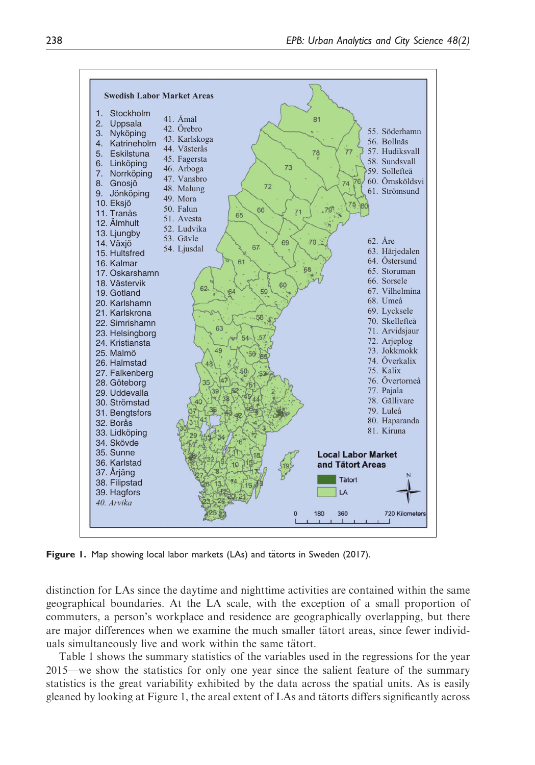

Figure 1. Map showing local labor markets (LAs) and tätorts in Sweden (2017).

distinction for LAs since the daytime and nighttime activities are contained within the same geographical boundaries. At the LA scale, with the exception of a small proportion of commuters, a person's workplace and residence are geographically overlapping, but there are major differences when we examine the much smaller tätort areas, since fewer individuals simultaneously live and work within the same tätort.

Table 1 shows the summary statistics of the variables used in the regressions for the year 2015—we show the statistics for only one year since the salient feature of the summary statistics is the great variability exhibited by the data across the spatial units. As is easily gleaned by looking at Figure 1, the areal extent of LAs and tätorts differs significantly across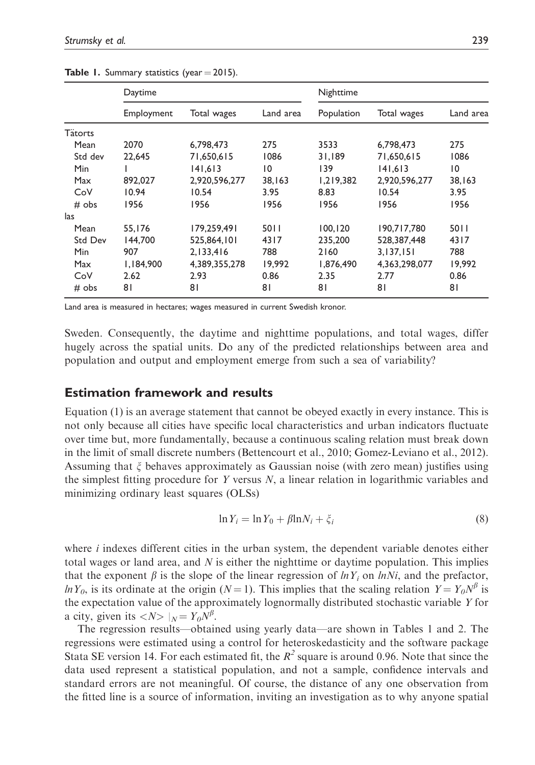|            | Daytime    |               |           | Nighttime  |               |                 |
|------------|------------|---------------|-----------|------------|---------------|-----------------|
|            | Employment | Total wages   | Land area | Population | Total wages   | Land area       |
| Tätorts    |            |               |           |            |               |                 |
| Mean       | 2070       | 6.798.473     | 275       | 3533       | 6.798.473     | 275             |
| Std dev    | 22,645     | 71,650,615    | 1086      | 31,189     | 71,650,615    | 1086            |
| <b>Min</b> |            | 141.613       | 10        | 139        | 141,613       | $\overline{10}$ |
| Max        | 892,027    | 2,920,596,277 | 38,163    | 1,219,382  | 2,920,596,277 | 38,163          |
| CoV        | 10.94      | 10.54         | 3.95      | 8.83       | 10.54         | 3.95            |
| $#$ obs    | 1956       | 1956          | 1956      | 1956       | 1956          | 1956            |
| las        |            |               |           |            |               |                 |
| Mean       | 55.176     | 179.259.491   | 5011      | 100.120    | 190.717.780   | 5011            |
| Std Dev    | 144,700    | 525.864.101   | 4317      | 235,200    | 528,387,448   | 4317            |
| <b>Min</b> | 907        | 2.133.416     | 788       | 2160       | 3.137.151     | 788             |
| Max        | 1,184,900  | 4,389,355,278 | 19,992    | 1,876,490  | 4,363,298,077 | 19,992          |
| CoV        | 2.62       | 2.93          | 0.86      | 2.35       | 2.77          | 0.86            |
| $#$ obs    | 81         | 81            | 81        | 81         | 81            | 81              |

**Table 1.** Summary statistics (year  $= 2015$ ).

Land area is measured in hectares; wages measured in current Swedish kronor.

Sweden. Consequently, the daytime and nighttime populations, and total wages, differ hugely across the spatial units. Do any of the predicted relationships between area and population and output and employment emerge from such a sea of variability?

# Estimation framework and results

Equation (1) is an average statement that cannot be obeyed exactly in every instance. This is not only because all cities have specific local characteristics and urban indicators fluctuate over time but, more fundamentally, because a continuous scaling relation must break down in the limit of small discrete numbers (Bettencourt et al., 2010; Gomez-Leviano et al., 2012). Assuming that  $\xi$  behaves approximately as Gaussian noise (with zero mean) justifies using the simplest fitting procedure for Y versus  $N$ , a linear relation in logarithmic variables and minimizing ordinary least squares (OLSs)

$$
\ln Y_i = \ln Y_0 + \beta \ln N_i + \xi_i \tag{8}
$$

where  $i$  indexes different cities in the urban system, the dependent variable denotes either total wages or land area, and  $N$  is either the nighttime or daytime population. This implies that the exponent  $\beta$  is the slope of the linear regression of  $lnY_i$  on lnNi, and the prefactor,  $lnY_0$ , is its ordinate at the origin (N = 1). This implies that the scaling relation  $Y = Y_0N^{\beta}$  is the expectation value of the approximately lognormally distributed stochastic variable Y for a city, given its  $\langle N \rangle |_{N} = Y_0 N^{\beta}$ .

The regression results—obtained using yearly data—are shown in Tables 1 and 2. The regressions were estimated using a control for heteroskedasticity and the software package Stata SE version 14. For each estimated fit, the  $R^2$  square is around 0.96. Note that since the data used represent a statistical population, and not a sample, confidence intervals and standard errors are not meaningful. Of course, the distance of any one observation from the fitted line is a source of information, inviting an investigation as to why anyone spatial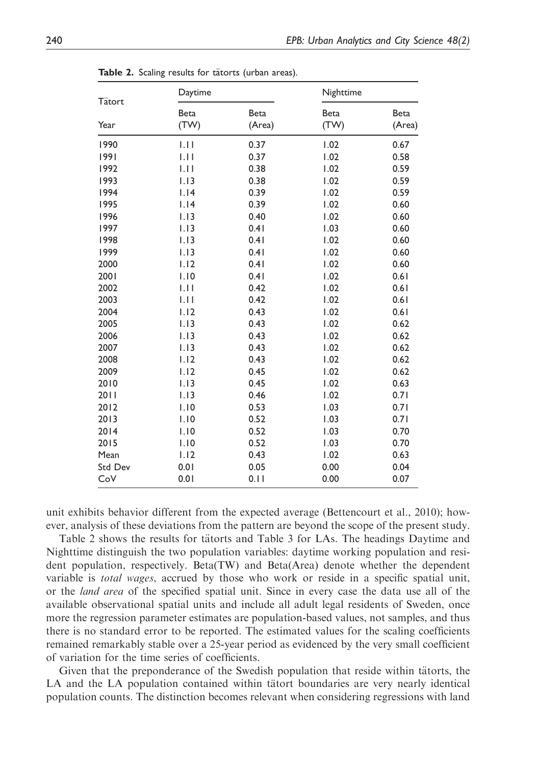|                | Daytime             |                       | Nighttime           |                       |
|----------------|---------------------|-----------------------|---------------------|-----------------------|
| Tätort<br>Year | <b>Beta</b><br>(TW) | <b>Beta</b><br>(Area) | <b>Beta</b><br>(TW) | <b>Beta</b><br>(Area) |
| 1990           | 1.11                | 0.37                  | 1.02                | 0.67                  |
| 1991           | 1.11                | 0.37                  | 1.02                | 0.58                  |
| 1992           | 1.11                | 0.38                  | 1.02                | 0.59                  |
| 1993           | 1.13                | 0.38                  | 1.02                | 0.59                  |
| 1994           | 1.14                | 0.39                  | 1.02                | 0.59                  |
| 1995           | 1.14                | 0.39                  | 1.02                | 0.60                  |
| 1996           | 1.13                | 0.40                  | 1.02                | 0.60                  |
| 1997           | 1.13                | 0.41                  | 1.03                | 0.60                  |
| 1998           | 1.13                | 0.41                  | 1.02                | 0.60                  |
| 1999           | 1.13                | 0.41                  | 1.02                | 0.60                  |
| 2000           | 1.12                | 0.41                  | 1.02                | 0.60                  |
| 2001           | 1.10                | 0.41                  | 1.02                | 0.61                  |
| 2002           | 1.11                | 0.42                  | 1.02                | 0.61                  |
| 2003           | 1.11                | 0.42                  | 1.02                | 0.61                  |
| 2004           | 1.12                | 0.43                  | 1.02                | 0.61                  |
| 2005           | 1.13                | 0.43                  | 1.02                | 0.62                  |
| 2006           | 1.13                | 0.43                  | 1.02                | 0.62                  |
| 2007           | 1.13                | 0.43                  | 1.02                | 0.62                  |
| 2008           | 1.12                | 0.43                  | 1.02                | 0.62                  |
| 2009           | 1.12                | 0.45                  | 1.02                | 0.62                  |
| 2010           | 1.13                | 0.45                  | 1.02                | 0.63                  |
| 2011           | 1.13                | 0.46                  | 1.02                | 0.71                  |
| 2012           | 1.10                | 0.53                  | 1.03                | 0.71                  |
| 2013           | 1.10                | 0.52                  | 1.03                | 0.71                  |
| 2014           | 1.10                | 0.52                  | 1.03                | 0.70                  |
| 2015           | 1.10                | 0.52                  | 1.03                | 0.70                  |
| Mean           | 1.12                | 0.43                  | 1.02                | 0.63                  |
| <b>Std Dev</b> | 0.01                | 0.05                  | 0.00                | 0.04                  |
| CoV            | 0.01                | 0.11                  | 0.00                | 0.07                  |

Table 2. Scaling results for tätorts (urban areas).

unit exhibits behavior different from the expected average (Bettencourt et al., 2010); however, analysis of these deviations from the pattern are beyond the scope of the present study.

Table 2 shows the results for tätorts and Table 3 for LAs. The headings Daytime and Nighttime distinguish the two population variables: daytime working population and resident population, respectively. Beta(TW) and Beta(Area) denote whether the dependent variable is *total wages*, accrued by those who work or reside in a specific spatial unit, or the land area of the specified spatial unit. Since in every case the data use all of the available observational spatial units and include all adult legal residents of Sweden, once more the regression parameter estimates are population-based values, not samples, and thus there is no standard error to be reported. The estimated values for the scaling coefficients remained remarkably stable over a 25-year period as evidenced by the very small coefficient of variation for the time series of coefficients.

Given that the preponderance of the Swedish population that reside within tätorts, the LA and the LA population contained within tätort boundaries are very nearly identical population counts. The distinction becomes relevant when considering regressions with land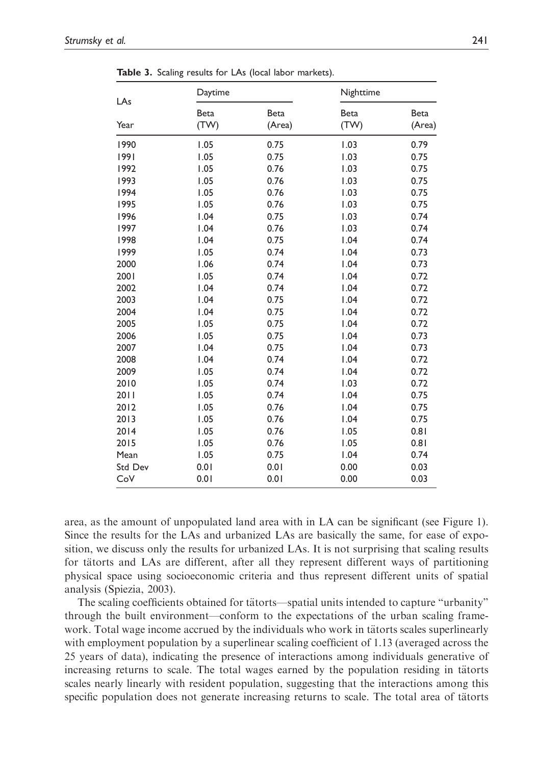| LAs     | Daytime      |                       | Nighttime    |                       |  |
|---------|--------------|-----------------------|--------------|-----------------------|--|
| Year    | Beta<br>(TW) | <b>Beta</b><br>(Area) | Beta<br>(TW) | <b>Beta</b><br>(Area) |  |
| 1990    | 1.05         | 0.75                  | 1.03         | 0.79                  |  |
| 1991    | 1.05         | 0.75                  | 1.03         | 0.75                  |  |
| 1992    | 1.05         | 0.76                  | 1.03         | 0.75                  |  |
| 1993    | 1.05         | 0.76                  | 1.03         | 0.75                  |  |
| 1994    | 1.05         | 0.76                  | 1.03         | 0.75                  |  |
| 1995    | 1.05         | 0.76                  | 1.03         | 0.75                  |  |
| 1996    | 1.04         | 0.75                  | 1.03         | 0.74                  |  |
| 1997    | 1.04         | 0.76                  | 1.03         | 0.74                  |  |
| 1998    | 1.04         | 0.75                  | 1.04         | 0.74                  |  |
| 1999    | 1.05         | 0.74                  | 1.04         | 0.73                  |  |
| 2000    | 1.06         | 0.74                  | 1.04         | 0.73                  |  |
| 2001    | 1.05         | 0.74                  | 1.04         | 0.72                  |  |
| 2002    | 1.04         | 0.74                  | 1.04         | 0.72                  |  |
| 2003    | 1.04         | 0.75                  | 1.04         | 0.72                  |  |
| 2004    | 1.04         | 0.75                  | 1.04         | 0.72                  |  |
| 2005    | 1.05         | 0.75                  | 1.04         | 0.72                  |  |
| 2006    | 1.05         | 0.75                  | 1.04         | 0.73                  |  |
| 2007    | 1.04         | 0.75                  | 1.04         | 0.73                  |  |
| 2008    | 1.04         | 0.74                  | 1.04         | 0.72                  |  |
| 2009    | 1.05         | 0.74                  | 1.04         | 0.72                  |  |
| 2010    | 1.05         | 0.74                  | 1.03         | 0.72                  |  |
| 2011    | 1.05         | 0.74                  | 1.04         | 0.75                  |  |
| 2012    | 1.05         | 0.76                  | 1.04         | 0.75                  |  |
| 2013    | 1.05         | 0.76                  | 1.04         | 0.75                  |  |
| 2014    | 1.05         | 0.76                  | 1.05         | 0.81                  |  |
| 2015    | 1.05         | 0.76                  | 1.05         | 0.81                  |  |
| Mean    | 1.05         | 0.75                  | 1.04         | 0.74                  |  |
| Std Dev | 0.01         | 0.01                  | 0.00         | 0.03                  |  |
| CoV     | 0.01         | 0.01                  | 0.00         | 0.03                  |  |

Table 3. Scaling results for LAs (local labor markets).

area, as the amount of unpopulated land area with in LA can be significant (see Figure 1). Since the results for the LAs and urbanized LAs are basically the same, for ease of exposition, we discuss only the results for urbanized LAs. It is not surprising that scaling results for tätorts and LAs are different, after all they represent different ways of partitioning physical space using socioeconomic criteria and thus represent different units of spatial analysis (Spiezia, 2003).

The scaling coefficients obtained for tätorts—spatial units intended to capture "urbanity" through the built environment—conform to the expectations of the urban scaling framework. Total wage income accrued by the individuals who work in tatorts scales superlinearly with employment population by a superlinear scaling coefficient of 1.13 (averaged across the 25 years of data), indicating the presence of interactions among individuals generative of increasing returns to scale. The total wages earned by the population residing in tätorts scales nearly linearly with resident population, suggesting that the interactions among this specific population does not generate increasing returns to scale. The total area of tätorts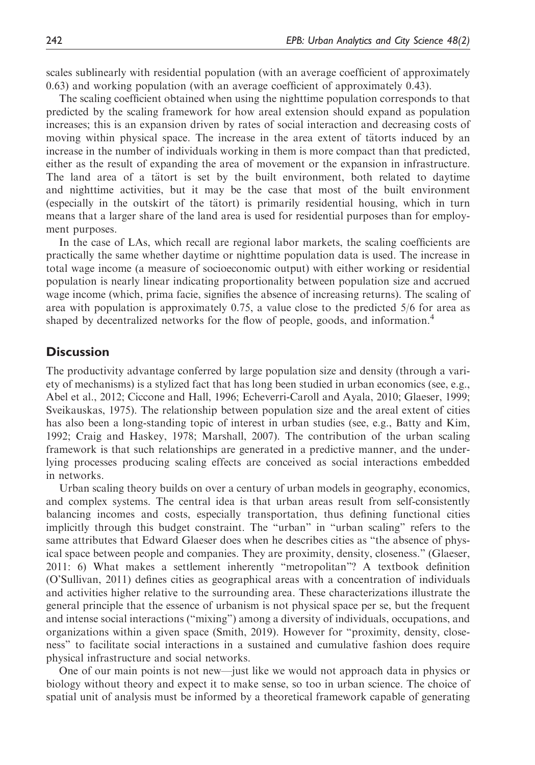scales sublinearly with residential population (with an average coefficient of approximately 0.63) and working population (with an average coefficient of approximately 0.43).

The scaling coefficient obtained when using the nighttime population corresponds to that predicted by the scaling framework for how areal extension should expand as population increases; this is an expansion driven by rates of social interaction and decreasing costs of moving within physical space. The increase in the area extent of tatorts induced by an increase in the number of individuals working in them is more compact than that predicted, either as the result of expanding the area of movement or the expansion in infrastructure. The land area of a tätort is set by the built environment, both related to daytime and nighttime activities, but it may be the case that most of the built environment (especially in the outskirt of the tätort) is primarily residential housing, which in turn means that a larger share of the land area is used for residential purposes than for employment purposes.

In the case of LAs, which recall are regional labor markets, the scaling coefficients are practically the same whether daytime or nighttime population data is used. The increase in total wage income (a measure of socioeconomic output) with either working or residential population is nearly linear indicating proportionality between population size and accrued wage income (which, prima facie, signifies the absence of increasing returns). The scaling of area with population is approximately 0.75, a value close to the predicted 5/6 for area as shaped by decentralized networks for the flow of people, goods, and information.<sup>4</sup>

# **Discussion**

The productivity advantage conferred by large population size and density (through a variety of mechanisms) is a stylized fact that has long been studied in urban economics (see, e.g., Abel et al., 2012; Ciccone and Hall, 1996; Echeverri-Caroll and Ayala, 2010; Glaeser, 1999; Sveikauskas, 1975). The relationship between population size and the areal extent of cities has also been a long-standing topic of interest in urban studies (see, e.g., Batty and Kim, 1992; Craig and Haskey, 1978; Marshall, 2007). The contribution of the urban scaling framework is that such relationships are generated in a predictive manner, and the underlying processes producing scaling effects are conceived as social interactions embedded in networks.

Urban scaling theory builds on over a century of urban models in geography, economics, and complex systems. The central idea is that urban areas result from self-consistently balancing incomes and costs, especially transportation, thus defining functional cities implicitly through this budget constraint. The "urban" in "urban scaling" refers to the same attributes that Edward Glaeser does when he describes cities as "the absence of physical space between people and companies. They are proximity, density, closeness." (Glaeser, 2011: 6) What makes a settlement inherently "metropolitan"? A textbook definition (O'Sullivan, 2011) defines cities as geographical areas with a concentration of individuals and activities higher relative to the surrounding area. These characterizations illustrate the general principle that the essence of urbanism is not physical space per se, but the frequent and intense social interactions ("mixing") among a diversity of individuals, occupations, and organizations within a given space (Smith, 2019). However for "proximity, density, closeness" to facilitate social interactions in a sustained and cumulative fashion does require physical infrastructure and social networks.

One of our main points is not new—just like we would not approach data in physics or biology without theory and expect it to make sense, so too in urban science. The choice of spatial unit of analysis must be informed by a theoretical framework capable of generating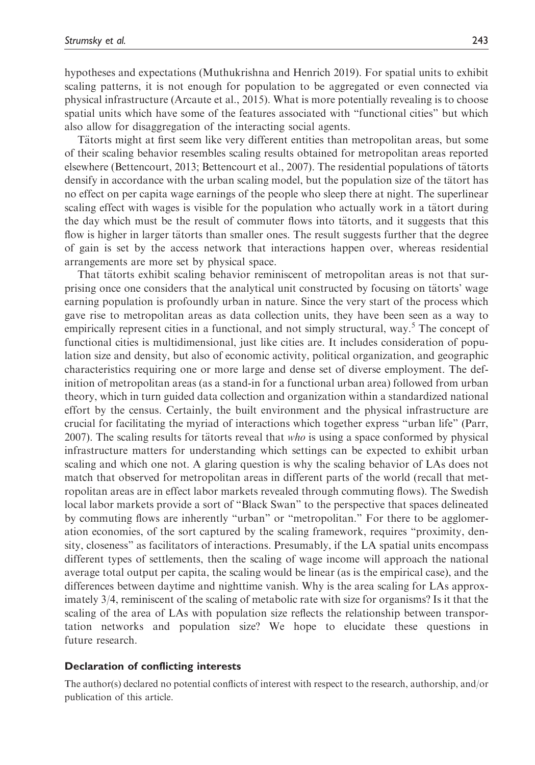hypotheses and expectations (Muthukrishna and Henrich 2019). For spatial units to exhibit scaling patterns, it is not enough for population to be aggregated or even connected via physical infrastructure (Arcaute et al., 2015). What is more potentially revealing is to choose spatial units which have some of the features associated with "functional cities" but which also allow for disaggregation of the interacting social agents.

Tätorts might at first seem like very different entities than metropolitan areas, but some of their scaling behavior resembles scaling results obtained for metropolitan areas reported elsewhere (Bettencourt, 2013; Bettencourt et al., 2007). The residential populations of tätorts densify in accordance with the urban scaling model, but the population size of the tätort has no effect on per capita wage earnings of the people who sleep there at night. The superlinear scaling effect with wages is visible for the population who actually work in a tätort during the day which must be the result of commuter flows into tatorts, and it suggests that this flow is higher in larger tätorts than smaller ones. The result suggests further that the degree of gain is set by the access network that interactions happen over, whereas residential arrangements are more set by physical space.

That tätorts exhibit scaling behavior reminiscent of metropolitan areas is not that surprising once one considers that the analytical unit constructed by focusing on tätorts' wage earning population is profoundly urban in nature. Since the very start of the process which gave rise to metropolitan areas as data collection units, they have been seen as a way to empirically represent cities in a functional, and not simply structural, way.<sup>5</sup> The concept of functional cities is multidimensional, just like cities are. It includes consideration of population size and density, but also of economic activity, political organization, and geographic characteristics requiring one or more large and dense set of diverse employment. The definition of metropolitan areas (as a stand-in for a functional urban area) followed from urban theory, which in turn guided data collection and organization within a standardized national effort by the census. Certainly, the built environment and the physical infrastructure are crucial for facilitating the myriad of interactions which together express "urban life" (Parr, 2007). The scaling results for tätorts reveal that *who* is using a space conformed by physical infrastructure matters for understanding which settings can be expected to exhibit urban scaling and which one not. A glaring question is why the scaling behavior of LAs does not match that observed for metropolitan areas in different parts of the world (recall that metropolitan areas are in effect labor markets revealed through commuting flows). The Swedish local labor markets provide a sort of "Black Swan" to the perspective that spaces delineated by commuting flows are inherently "urban" or "metropolitan." For there to be agglomeration economies, of the sort captured by the scaling framework, requires "proximity, density, closeness" as facilitators of interactions. Presumably, if the LA spatial units encompass different types of settlements, then the scaling of wage income will approach the national average total output per capita, the scaling would be linear (as is the empirical case), and the differences between daytime and nighttime vanish. Why is the area scaling for LAs approximately 3/4, reminiscent of the scaling of metabolic rate with size for organisms? Is it that the scaling of the area of LAs with population size reflects the relationship between transportation networks and population size? We hope to elucidate these questions in future research.

#### Declaration of conflicting interests

The author(s) declared no potential conflicts of interest with respect to the research, authorship, and/or publication of this article.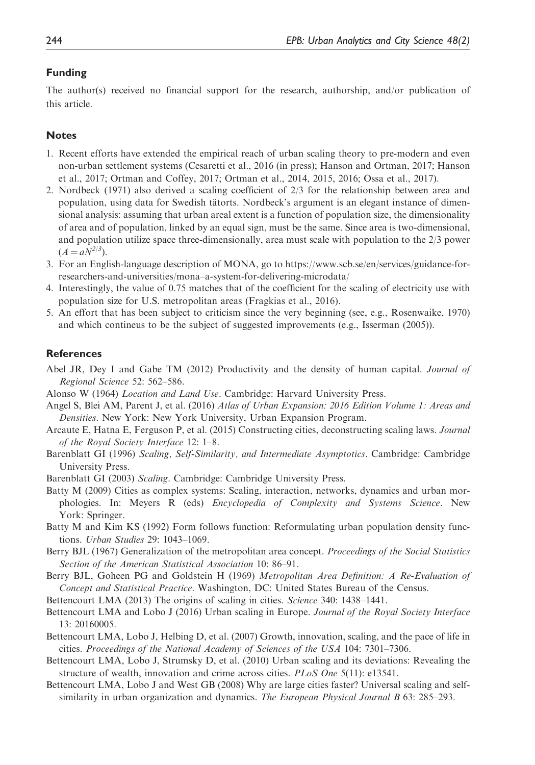# Funding

The author(s) received no financial support for the research, authorship, and/or publication of this article.

## **Notes**

- 1. Recent efforts have extended the empirical reach of urban scaling theory to pre-modern and even non-urban settlement systems (Cesaretti et al., 2016 (in press); Hanson and Ortman, 2017; Hanson et al., 2017; Ortman and Coffey, 2017; Ortman et al., 2014, 2015, 2016; Ossa et al., 2017).
- 2. Nordbeck (1971) also derived a scaling coefficient of 2/3 for the relationship between area and population, using data for Swedish tätorts. Nordbeck's argument is an elegant instance of dimensional analysis: assuming that urban areal extent is a function of population size, the dimensionality of area and of population, linked by an equal sign, must be the same. Since area is two-dimensional, and population utilize space three-dimensionally, area must scale with population to the 2/3 power  $(A = aN^{2/3}).$
- 3. For an English-language description of MONA, go to [https://www.scb.se/en/services/guidance-for](https://www.scb.se/en/services/guidance-for-researchers-and-universities/mona-a-system-for-delivering-microdata/)[researchers-and-universities/mona–a-system-for-delivering-microdata/](https://www.scb.se/en/services/guidance-for-researchers-and-universities/mona-a-system-for-delivering-microdata/)
- 4. Interestingly, the value of 0.75 matches that of the coefficient for the scaling of electricity use with population size for U.S. metropolitan areas (Fragkias et al., 2016).
- 5. An effort that has been subject to criticism since the very beginning (see, e.g., Rosenwaike, 1970) and which contineus to be the subject of suggested improvements (e.g., Isserman (2005)).

#### **References**

- Abel JR, Dey I and Gabe TM (2012) Productivity and the density of human capital. Journal of Regional Science 52: 562–586.
- Alonso W (1964) Location and Land Use. Cambridge: Harvard University Press.
- Angel S, Blei AM, Parent J, et al. (2016) Atlas of Urban Expansion: 2016 Edition Volume 1: Areas and Densities. New York: New York University, Urban Expansion Program.
- Arcaute E, Hatna E, Ferguson P, et al. (2015) Constructing cities, deconstructing scaling laws. Journal of the Royal Society Interface 12: 1–8.
- Barenblatt GI (1996) Scaling, Self-Similarity, and Intermediate Asymptotics. Cambridge: Cambridge University Press.
- Barenblatt GI (2003) Scaling. Cambridge: Cambridge University Press.
- Batty M (2009) Cities as complex systems: Scaling, interaction, networks, dynamics and urban morphologies. In: Meyers R (eds) Encyclopedia of Complexity and Systems Science. New York: Springer.
- Batty M and Kim KS (1992) Form follows function: Reformulating urban population density functions. Urban Studies 29: 1043–1069.
- Berry BJL (1967) Generalization of the metropolitan area concept. *Proceedings of the Social Statistics* Section of the American Statistical Association 10: 86–91.
- Berry BJL, Goheen PG and Goldstein H (1969) Metropolitan Area Definition: A Re-Evaluation of Concept and Statistical Practice. Washington, DC: United States Bureau of the Census.
- Bettencourt LMA (2013) The origins of scaling in cities. Science 340: 1438–1441.
- Bettencourt LMA and Lobo J (2016) Urban scaling in Europe. Journal of the Royal Society Interface 13: 20160005.
- Bettencourt LMA, Lobo J, Helbing D, et al. (2007) Growth, innovation, scaling, and the pace of life in cities. Proceedings of the National Academy of Sciences of the USA 104: 7301–7306.
- Bettencourt LMA, Lobo J, Strumsky D, et al. (2010) Urban scaling and its deviations: Revealing the structure of wealth, innovation and crime across cities. PLoS One 5(11): e13541.
- Bettencourt LMA, Lobo J and West GB (2008) Why are large cities faster? Universal scaling and selfsimilarity in urban organization and dynamics. The European Physical Journal B 63: 285–293.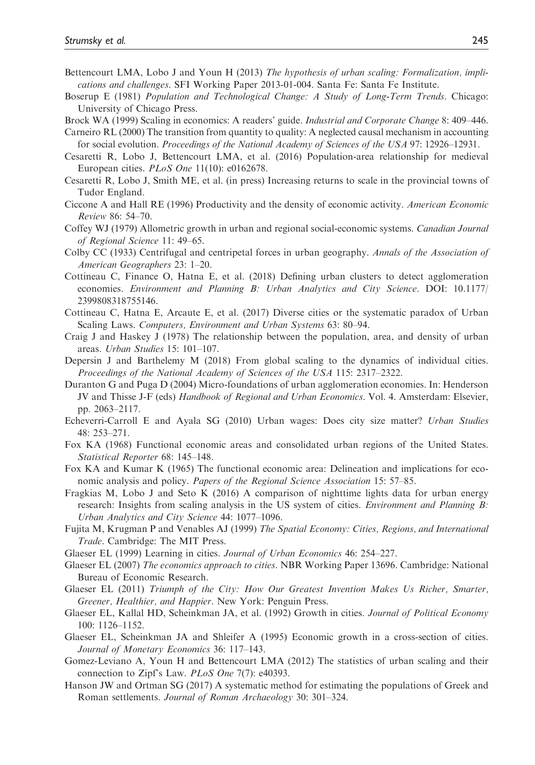- Bettencourt LMA, Lobo J and Youn H (2013) The hypothesis of urban scaling: Formalization, implications and challenges. SFI Working Paper 2013-01-004. Santa Fe: Santa Fe Institute.
- Boserup E (1981) Population and Technological Change: A Study of Long-Term Trends. Chicago: University of Chicago Press.
- Brock WA (1999) Scaling in economics: A readers' guide. Industrial and Corporate Change 8: 409–446.
- Carneiro RL (2000) The transition from quantity to quality: A neglected causal mechanism in accounting for social evolution. Proceedings of the National Academy of Sciences of the USA 97: 12926–12931.
- Cesaretti R, Lobo J, Bettencourt LMA, et al. (2016) Population-area relationship for medieval European cities. *PLoS One* 11(10): e0162678.
- Cesaretti R, Lobo J, Smith ME, et al. (in press) Increasing returns to scale in the provincial towns of Tudor England.
- Ciccone A and Hall RE (1996) Productivity and the density of economic activity. American Economic Review 86: 54–70.
- Coffey WJ (1979) Allometric growth in urban and regional social-economic systems. Canadian Journal of Regional Science 11: 49–65.
- Colby CC (1933) Centrifugal and centripetal forces in urban geography. Annals of the Association of American Geographers 23: 1–20.
- Cottineau C, Finance O, Hatna E, et al. (2018) Defining urban clusters to detect agglomeration economies. Environment and Planning B: Urban Analytics and City Science. DOI: 10.1177/ 2399808318755146.
- Cottineau C, Hatna E, Arcaute E, et al. (2017) Diverse cities or the systematic paradox of Urban Scaling Laws. Computers, Environment and Urban Systems 63: 80–94.
- Craig J and Haskey J (1978) The relationship between the population, area, and density of urban areas. Urban Studies 15: 101–107.
- Depersin J and Barthelemy M (2018) From global scaling to the dynamics of individual cities. Proceedings of the National Academy of Sciences of the USA 115: 2317–2322.
- Duranton G and Puga D (2004) Micro-foundations of urban agglomeration economies. In: Henderson JV and Thisse J-F (eds) Handbook of Regional and Urban Economics. Vol. 4. Amsterdam: Elsevier, pp. 2063–2117.
- Echeverri-Carroll E and Ayala SG (2010) Urban wages: Does city size matter? Urban Studies 48: 253–271.
- Fox KA (1968) Functional economic areas and consolidated urban regions of the United States. Statistical Reporter 68: 145–148.
- Fox KA and Kumar K (1965) The functional economic area: Delineation and implications for economic analysis and policy. Papers of the Regional Science Association 15: 57–85.
- Fragkias M, Lobo J and Seto K (2016) A comparison of nighttime lights data for urban energy research: Insights from scaling analysis in the US system of cities. *Environment and Planning B*: Urban Analytics and City Science 44: 1077–1096.
- Fujita M, Krugman P and Venables AJ (1999) The Spatial Economy: Cities, Regions, and International Trade. Cambridge: The MIT Press.
- Glaeser EL (1999) Learning in cities. Journal of Urban Economics 46: 254–227.
- Glaeser EL (2007) The economics approach to cities. NBR Working Paper 13696. Cambridge: National Bureau of Economic Research.
- Glaeser EL (2011) Triumph of the City: How Our Greatest Invention Makes Us Richer, Smarter, Greener, Healthier, and Happier. New York: Penguin Press.
- Glaeser EL, Kallal HD, Scheinkman JA, et al. (1992) Growth in cities. Journal of Political Economy 100: 1126–1152.
- Glaeser EL, Scheinkman JA and Shleifer A (1995) Economic growth in a cross-section of cities. Journal of Monetary Economics 36: 117–143.
- Gomez-Leviano A, Youn H and Bettencourt LMA (2012) The statistics of urban scaling and their connection to Zipf's Law. PLoS One 7(7): e40393.
- Hanson JW and Ortman SG (2017) A systematic method for estimating the populations of Greek and Roman settlements. Journal of Roman Archaeology 30: 301–324.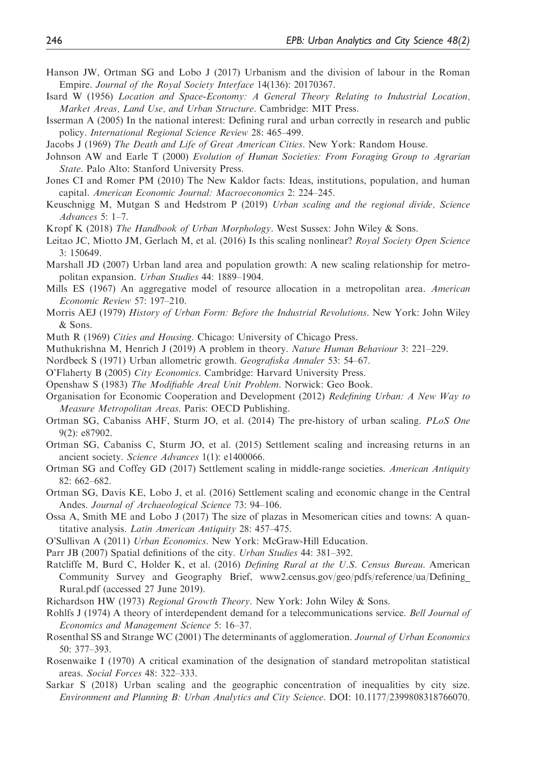- Hanson JW, Ortman SG and Lobo J (2017) Urbanism and the division of labour in the Roman Empire. Journal of the Royal Society Interface 14(136): 20170367.
- Isard W (1956) Location and Space-Economy: A General Theory Relating to Industrial Location, Market Areas, Land Use, and Urban Structure. Cambridge: MIT Press.
- Isserman A (2005) In the national interest: Defining rural and urban correctly in research and public policy. International Regional Science Review 28: 465–499.
- Jacobs J (1969) The Death and Life of Great American Cities. New York: Random House.
- Johnson AW and Earle T (2000) Evolution of Human Societies: From Foraging Group to Agrarian State. Palo Alto: Stanford University Press.
- Jones CI and Romer PM (2010) The New Kaldor facts: Ideas, institutions, population, and human capital. American Economic Journal: Macroeconomics 2: 224–245.
- Keuschnigg M, Mutgan S and Hedstrom P (2019) Urban scaling and the regional divide, Science Advances 5: 1–7.
- Kropf K (2018) The Handbook of Urban Morphology. West Sussex: John Wiley & Sons.
- Leitao JC, Miotto JM, Gerlach M, et al. (2016) Is this scaling nonlinear? Royal Society Open Science 3: 150649.
- Marshall JD (2007) Urban land area and population growth: A new scaling relationship for metropolitan expansion. Urban Studies 44: 1889–1904.
- Mills ES (1967) An aggregative model of resource allocation in a metropolitan area. American Economic Review 57: 197–210.
- Morris AEJ (1979) History of Urban Form: Before the Industrial Revolutions. New York: John Wiley & Sons.
- Muth R (1969) Cities and Housing. Chicago: University of Chicago Press.
- Muthukrishna M, Henrich J (2019) A problem in theory. Nature Human Behaviour 3: 221–229.
- Nordbeck S (1971) Urban allometric growth. Geografiska Annaler 53: 54–67.
- O'Flaherty B (2005) City Economics. Cambridge: Harvard University Press.
- Openshaw S (1983) The Modifiable Areal Unit Problem. Norwick: Geo Book.
- Organisation for Economic Cooperation and Development (2012) Redefining Urban: A New Way to Measure Metropolitan Areas. Paris: OECD Publishing.
- Ortman SG, Cabaniss AHF, Sturm JO, et al. (2014) The pre-history of urban scaling. PLoS One 9(2): e87902.
- Ortman SG, Cabaniss C, Sturm JO, et al. (2015) Settlement scaling and increasing returns in an ancient society. Science Advances 1(1): e1400066.
- Ortman SG and Coffey GD (2017) Settlement scaling in middle-range societies. American Antiquity 82: 662–682.
- Ortman SG, Davis KE, Lobo J, et al. (2016) Settlement scaling and economic change in the Central Andes. Journal of Archaeological Science 73: 94–106.
- Ossa A, Smith ME and Lobo J (2017) The size of plazas in Mesomerican cities and towns: A quantitative analysis. Latin American Antiquity 28: 457–475.
- O'Sullivan A (2011) Urban Economics. New York: McGraw-Hill Education.
- Parr JB (2007) Spatial definitions of the city. Urban Studies 44: 381–392.
- Ratcliffe M, Burd C, Holder K, et al. (2016) Defining Rural at the U.S. Census Bureau. American Community Survey and Geography Brief, [www2.census.gov/geo/pdfs/reference/ua/Defining\\_](http://www2.census.gov/geo/pdfs/reference/ua/Defining_Rural.pdf) [Rural.pdf](http://www2.census.gov/geo/pdfs/reference/ua/Defining_Rural.pdf) (accessed 27 June 2019).
- Richardson HW (1973) Regional Growth Theory. New York: John Wiley & Sons.
- Rohlfs J (1974) A theory of interdependent demand for a telecommunications service. Bell Journal of Economics and Management Science 5: 16–37.
- Rosenthal SS and Strange WC (2001) The determinants of agglomeration. Journal of Urban Economics 50: 377–393.
- Rosenwaike I (1970) A critical examination of the designation of standard metropolitan statistical areas. Social Forces 48: 322–333.
- Sarkar S (2018) Urban scaling and the geographic concentration of inequalities by city size. Environment and Planning B: Urban Analytics and City Science. DOI: 10.1177/2399808318766070.